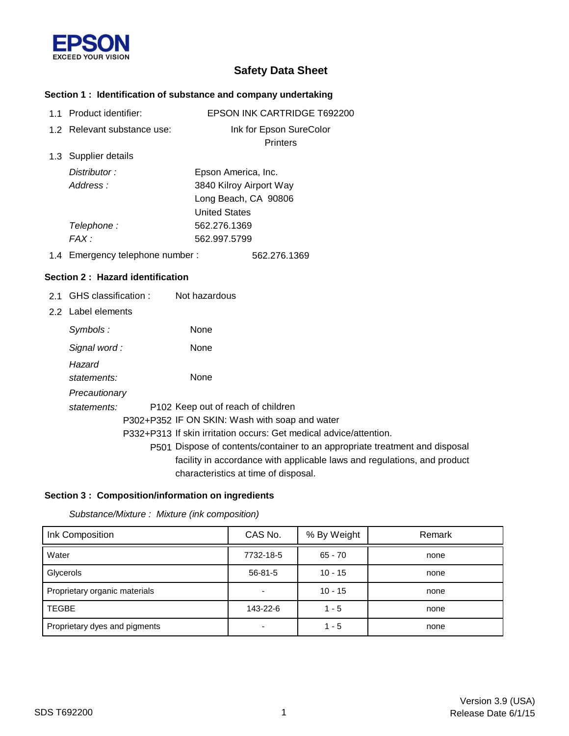

# **Safety Data Sheet**

## **Section 1 : Identification of substance and company undertaking**

| 1.1 Product identifier:          | EPSON INK CARTRIDGE T692200                                                 |
|----------------------------------|-----------------------------------------------------------------------------|
| 1.2 Relevant substance use:      | Ink for Epson SureColor                                                     |
|                                  | Printers                                                                    |
| 1.3 Supplier details             |                                                                             |
| Distributor:                     | Epson America, Inc.                                                         |
| Address:                         | 3840 Kilroy Airport Way                                                     |
|                                  | Long Beach, CA 90806                                                        |
|                                  | <b>United States</b>                                                        |
| Telephone:                       | 562.276.1369                                                                |
| FAX:                             | 562.997.5799                                                                |
| 1.4 Emergency telephone number:  | 562.276.1369                                                                |
| Section 2: Hazard identification |                                                                             |
| 2.1 GHS classification :         | Not hazardous                                                               |
| 2.2 Label elements               |                                                                             |
| Symbols:                         | None                                                                        |
| Signal word:                     | None                                                                        |
| Hazard                           |                                                                             |
| statements:                      | None                                                                        |
| Precautionary                    |                                                                             |
| statements:                      | P102 Keep out of reach of children                                          |
|                                  | P302+P352 IF ON SKIN: Wash with soap and water                              |
|                                  | P332+P313 If skin irritation occurs: Get medical advice/attention.          |
|                                  | P501 Dispose of contents/container to an appropriate treatment and disposal |
|                                  | facility in accordance with applicable laws and regulations, and product    |
|                                  | characteristics at time of disposal.                                        |

### **Section 3 : Composition/information on ingredients**

*Substance/Mixture : Mixture (ink composition)*

| Ink Composition               | CAS No.       | % By Weight | Remark |
|-------------------------------|---------------|-------------|--------|
| Water                         | 7732-18-5     | 65 - 70     | none   |
| Glycerols                     | $56 - 81 - 5$ | $10 - 15$   | none   |
| Proprietary organic materials |               | $10 - 15$   | none   |
| <b>TEGBE</b>                  | 143-22-6      | $1 - 5$     | none   |
| Proprietary dyes and pigments |               | $1 - 5$     | none   |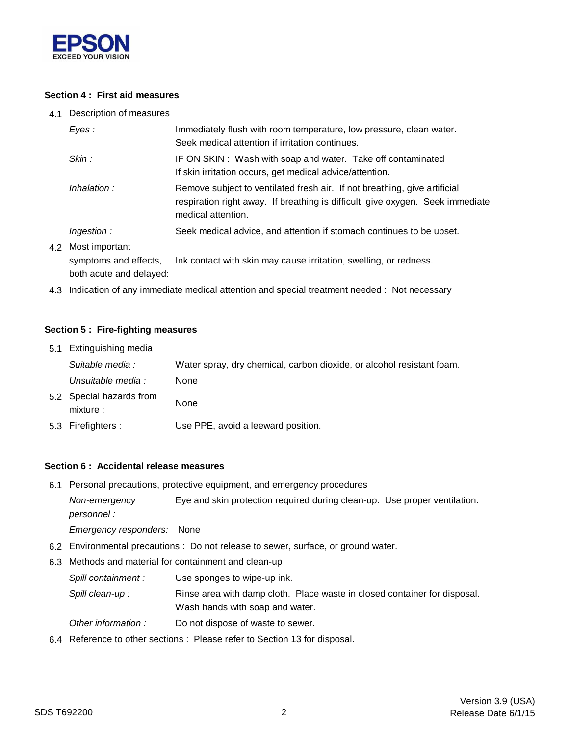

### **Section 4 : First aid measures**

4.1 Description of measures

| Eyes:                                       | Immediately flush with room temperature, low pressure, clean water.<br>Seek medical attention if irritation continues.                                                            |
|---------------------------------------------|-----------------------------------------------------------------------------------------------------------------------------------------------------------------------------------|
| Skin:                                       | IF ON SKIN: Wash with soap and water. Take off contaminated<br>If skin irritation occurs, get medical advice/attention.                                                           |
| Inhalation:                                 | Remove subject to ventilated fresh air. If not breathing, give artificial<br>respiration right away. If breathing is difficult, give oxygen. Seek immediate<br>medical attention. |
| Ingestion:                                  | Seek medical advice, and attention if stomach continues to be upset.                                                                                                              |
| 4.2 Most important<br>symptoms and effects, | Ink contact with skin may cause irritation, swelling, or redness.                                                                                                                 |

both acute and delayed:

4.3 Indication of any immediate medical attention and special treatment needed : Not necessary

#### **Section 5 : Fire-fighting measures**

| 5.1 Extinguishing media              |                                                                       |
|--------------------------------------|-----------------------------------------------------------------------|
| Suitable media :                     | Water spray, dry chemical, carbon dioxide, or alcohol resistant foam. |
| Unsuitable media :                   | None                                                                  |
| 5.2 Special hazards from<br>mixture: | None                                                                  |
| 5.3 Firefighters :                   | Use PPE, avoid a leeward position.                                    |

#### **Section 6 : Accidental release measures**

6.1 Personal precautions, protective equipment, and emergency procedures

*Non-emergency* Eye and skin protection required during clean-up. Use proper ventilation. *personnel :*

*Emergency responders:* None

- 6.2 Environmental precautions : Do not release to sewer, surface, or ground water.
- 6.3 Methods and material for containment and clean-up
	- *Spill containment :* Use sponges to wipe-up ink.
	- Wash hands with soap and water. Spill clean-up : Rinse area with damp cloth. Place waste in closed container for disposal.
	- *Other information :* Do not dispose of waste to sewer.
- 6.4 Reference to other sections : Please refer to Section 13 for disposal.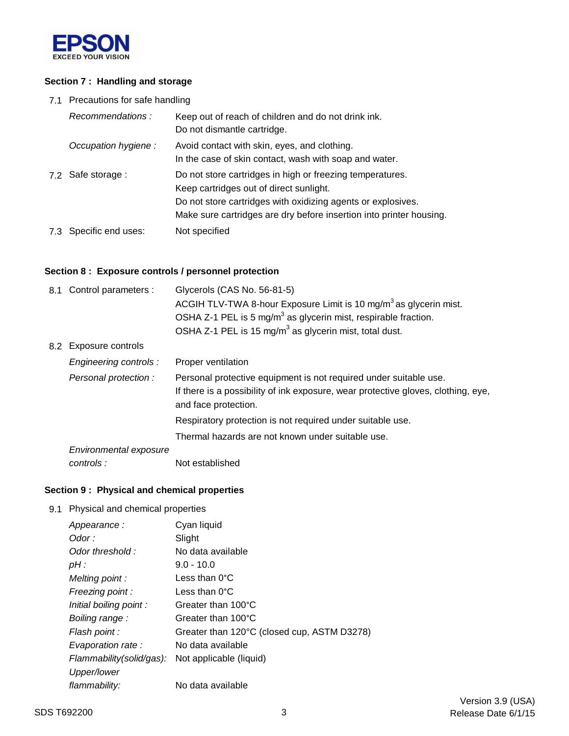

### **Section 7 : Handling and storage**

7.1 Precautions for safe handling

| Recommendations:       | Keep out of reach of children and do not drink ink.<br>Do not dismantle cartridge.                                                                                                                                                          |
|------------------------|---------------------------------------------------------------------------------------------------------------------------------------------------------------------------------------------------------------------------------------------|
| Occupation hygiene:    | Avoid contact with skin, eyes, and clothing.<br>In the case of skin contact, wash with soap and water.                                                                                                                                      |
| 7.2 Safe storage :     | Do not store cartridges in high or freezing temperatures.<br>Keep cartridges out of direct sunlight.<br>Do not store cartridges with oxidizing agents or explosives.<br>Make sure cartridges are dry before insertion into printer housing. |
| 7.3 Specific end uses: | Not specified                                                                                                                                                                                                                               |

### **Section 8 : Exposure controls / personnel protection**

| 8.1 Control parameters : | Glycerols (CAS No. 56-81-5)<br>ACGIH TLV-TWA 8-hour Exposure Limit is 10 mg/m <sup>3</sup> as glycerin mist.                                                                   |
|--------------------------|--------------------------------------------------------------------------------------------------------------------------------------------------------------------------------|
|                          | OSHA Z-1 PEL is 5 mg/m <sup>3</sup> as glycerin mist, respirable fraction.                                                                                                     |
|                          | OSHA Z-1 PEL is 15 mg/m <sup>3</sup> as glycerin mist, total dust.                                                                                                             |
| 8.2 Exposure controls    |                                                                                                                                                                                |
| Engineering controls :   | Proper ventilation                                                                                                                                                             |
| Personal protection:     | Personal protective equipment is not required under suitable use.<br>If there is a possibility of ink exposure, wear protective gloves, clothing, eye,<br>and face protection. |
|                          | Respiratory protection is not required under suitable use.                                                                                                                     |
|                          | Thermal hazards are not known under suitable use.                                                                                                                              |
| Environmental exposure   |                                                                                                                                                                                |
| controls:                | Not established                                                                                                                                                                |

## **Section 9 : Physical and chemical properties**

9.1 Physical and chemical properties

| Appearance:              | Cyan liquid                                 |
|--------------------------|---------------------------------------------|
| Odor :                   | Slight                                      |
| Odor threshold:          | No data available                           |
| pH:                      | $9.0 - 10.0$                                |
| Melting point:           | Less than $0^{\circ}$ C                     |
| Freezing point:          | Less than $0^{\circ}$ C                     |
| Initial boiling point:   | Greater than 100°C                          |
| Boiling range:           | Greater than 100°C                          |
| Flash point :            | Greater than 120°C (closed cup, ASTM D3278) |
| Evaporation rate:        | No data available                           |
| Flammability(solid/gas): | Not applicable (liquid)                     |
| Upper/lower              |                                             |
| flammability:            | No data available                           |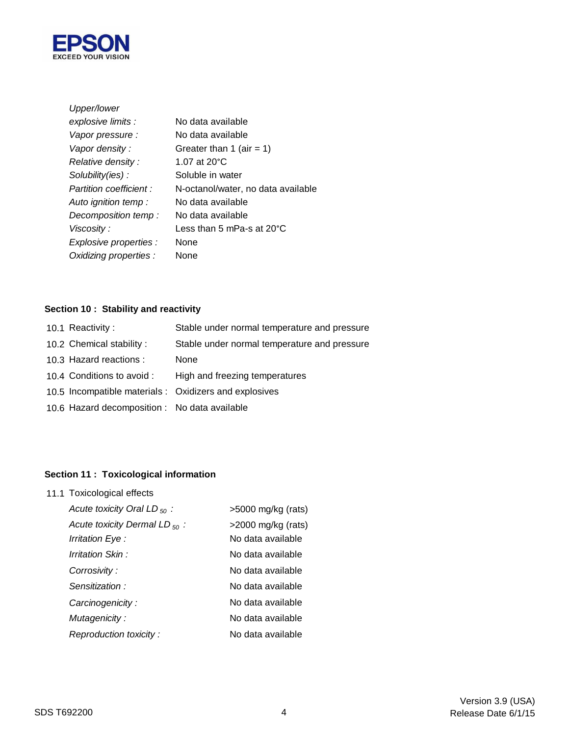

| Upper/lower             |                                     |
|-------------------------|-------------------------------------|
| explosive limits :      | No data available                   |
| Vapor pressure :        | No data available                   |
| Vapor density:          | Greater than 1 (air = 1)            |
| Relative density:       | 1.07 at $20^{\circ}$ C              |
| Solubility(ies):        | Soluble in water                    |
| Partition coefficient : | N-octanol/water, no data available  |
| Auto ignition temp :    | No data available                   |
| Decomposition temp:     | No data available                   |
| Viscosity :             | Less than 5 mPa-s at $20^{\circ}$ C |
| Explosive properties :  | None                                |
| Oxidizing properties :  | None                                |

# **Section 10 : Stability and reactivity**

| 10.1 Reactivity:                              | Stable under normal temperature and pressure           |
|-----------------------------------------------|--------------------------------------------------------|
| 10.2 Chemical stability:                      | Stable under normal temperature and pressure           |
| 10.3 Hazard reactions :                       | None                                                   |
| 10.4 Conditions to avoid :                    | High and freezing temperatures                         |
|                                               | 10.5 Incompatible materials : Oxidizers and explosives |
| 10.6 Hazard decomposition : No data available |                                                        |
|                                               |                                                        |

# **Section 11 : Toxicological information**

11.1 Toxicological effects

| Acute toxicity Oral LD $_{50}$ :   | $>5000$ mg/kg (rats) |
|------------------------------------|----------------------|
| Acute toxicity Dermal LD $_{50}$ : | $>2000$ mg/kg (rats) |
| Irritation Eye :                   | No data available    |
| Irritation Skin :                  | No data available    |
| Corrosivity:                       | No data available    |
| Sensitization:                     | No data available    |
| Carcinogenicity:                   | No data available    |
| Mutagenicity:                      | No data available    |
| Reproduction toxicity:             | No data available    |
|                                    |                      |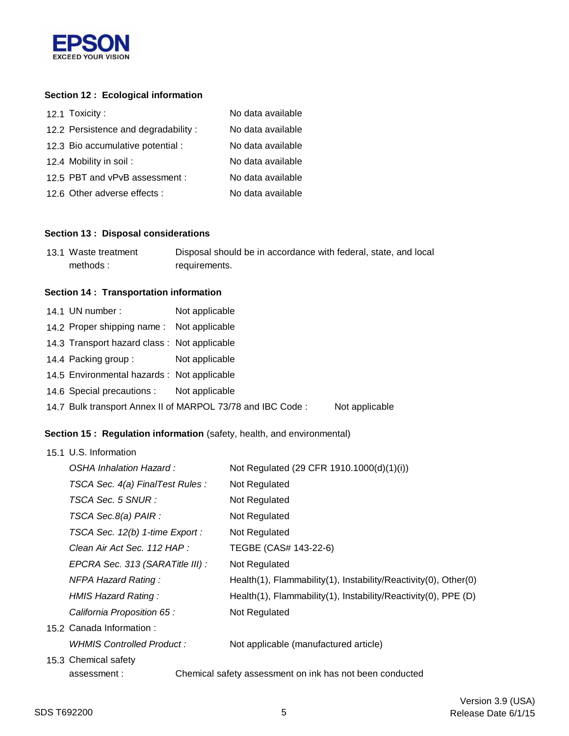

## **Section 12 : Ecological information**

| 12.1 Toxicity:                      | No data available |
|-------------------------------------|-------------------|
| 12.2 Persistence and degradability: | No data available |
| 12.3 Bio accumulative potential :   | No data available |
| 12.4 Mobility in soil:              | No data available |
| 12.5 PBT and vPvB assessment :      | No data available |
| 12.6 Other adverse effects :        | No data available |

#### **Section 13 : Disposal considerations**

| 13.1 Waste treatment | Disposal should be in accordance with federal, state, and local |
|----------------------|-----------------------------------------------------------------|
| methods:             | requirements.                                                   |

#### **Section 14 : Transportation information**

| 14.1 UN number:                             | Not applicable                                             |                |
|---------------------------------------------|------------------------------------------------------------|----------------|
| 14.2 Proper shipping name: Not applicable   |                                                            |                |
| 14.3 Transport hazard class: Not applicable |                                                            |                |
| 14.4 Packing group:                         | Not applicable                                             |                |
| 14.5 Environmental hazards : Not applicable |                                                            |                |
| 14.6 Special precautions : Not applicable   |                                                            |                |
|                                             | 14.7 Bulk transport Annex II of MARPOL 73/78 and IBC Code: | Not applicable |

## **Section 15 : Regulation information** (safety, health, and environmental)

| 15.1 U.S. Information            |                                                                 |  |  |
|----------------------------------|-----------------------------------------------------------------|--|--|
| OSHA Inhalation Hazard:          | Not Regulated (29 CFR 1910.1000(d)(1)(i))                       |  |  |
| TSCA Sec. 4(a) FinalTest Rules : | Not Regulated                                                   |  |  |
| TSCA Sec. 5 SNUR :               | Not Regulated                                                   |  |  |
| TSCA Sec.8(a) PAIR :             | Not Regulated                                                   |  |  |
| TSCA Sec. 12(b) 1-time Export :  | Not Regulated                                                   |  |  |
| Clean Air Act Sec. 112 HAP :     | TEGBE (CAS# 143-22-6)                                           |  |  |
| EPCRA Sec. 313 (SARATitle III) : | Not Regulated                                                   |  |  |
| <b>NFPA Hazard Rating:</b>       | Health(1), Flammability(1), Instability/Reactivity(0), Other(0) |  |  |
| HMIS Hazard Rating:              | Health(1), Flammability(1), Instability/Reactivity(0), PPE (D)  |  |  |
| California Proposition 65 :      | Not Regulated                                                   |  |  |
| 15.2 Canada Information:         |                                                                 |  |  |
| WHMIS Controlled Product:        | Not applicable (manufactured article)                           |  |  |
| 15.3 Chemical safety             |                                                                 |  |  |
| assessment:                      | Chemical safety assessment on ink has not been conducted        |  |  |